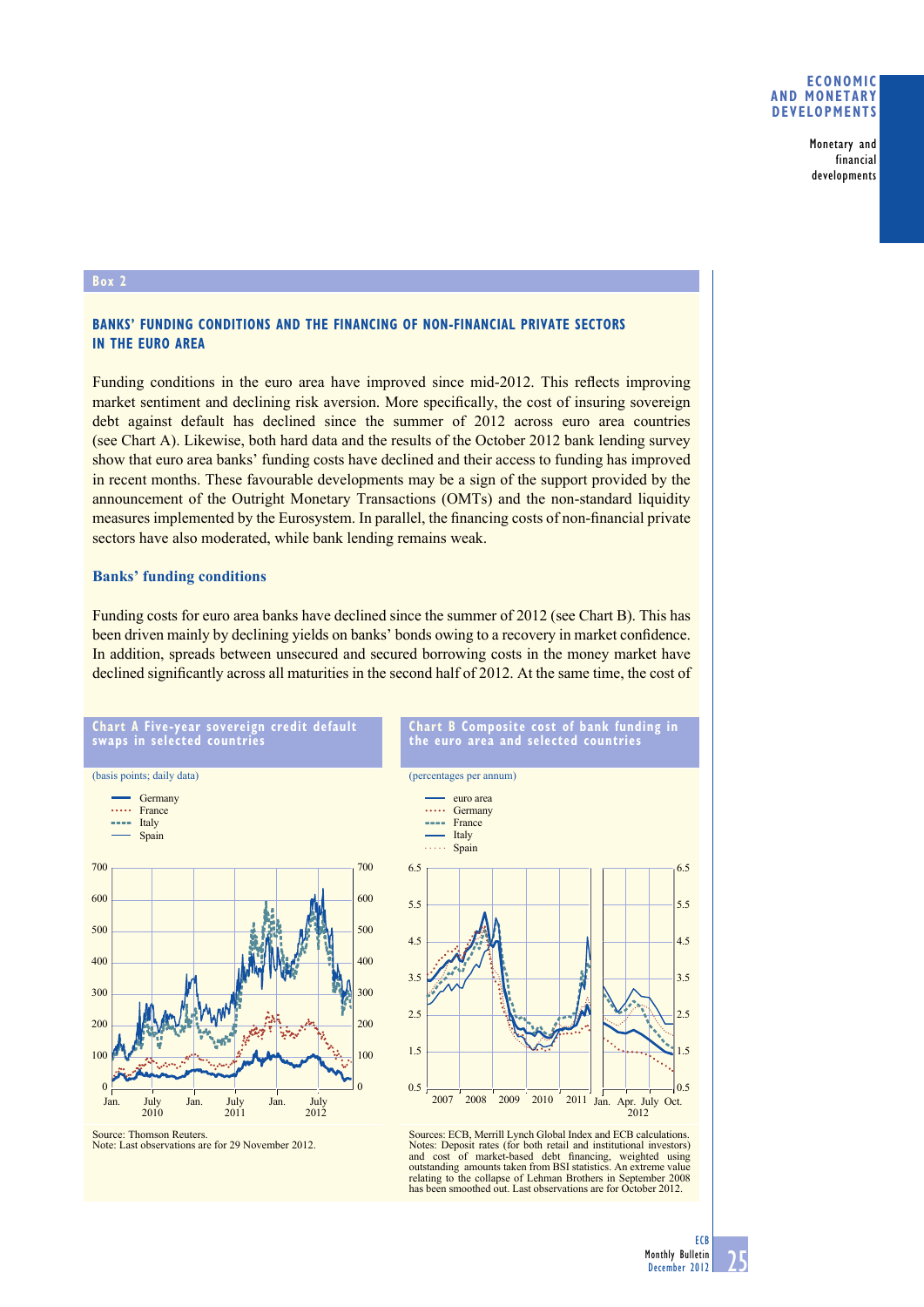# **economic anD monetary DeVeloPmentS**

Monetary and financial developments

#### **box 2**

# **BANKS' FUNDING CONDITIONS AND THE FINANCING OF NON-FINANCIAL PRIVATE SECTORS in the euro area**

Funding conditions in the euro area have improved since mid-2012. This reflects improving market sentiment and declining risk aversion. More specifically, the cost of insuring sovereign debt against default has declined since the summer of 2012 across euro area countries (see Chart A). Likewise, both hard data and the results of the October 2012 bank lending survey show that euro area banks' funding costs have declined and their access to funding has improved in recent months. These favourable developments may be a sign of the support provided by the announcement of the Outright Monetary Transactions (OMTs) and the non-standard liquidity measures implemented by the Eurosystem. In parallel, the financing costs of non-financial private sectors have also moderated, while bank lending remains weak.

## **Banks' funding conditions**

Funding costs for euro area banks have declined since the summer of 2012 (see Chart B). This has been driven mainly by declining yields on banks' bonds owing to a recovery in market confidence. In addition, spreads between unsecured and secured borrowing costs in the money market have declined significantly across all maturities in the second half of 2012. At the same time, the cost of



Notes: Deposit rates (for both retail and institutional investors) and cost of market-based debt financing, weighted using outstanding amounts taken from BSI statistics. An extreme value relating to the collapse of Lehman Brothers in September 2008 has been smoothed out. Last observations are for October 2012.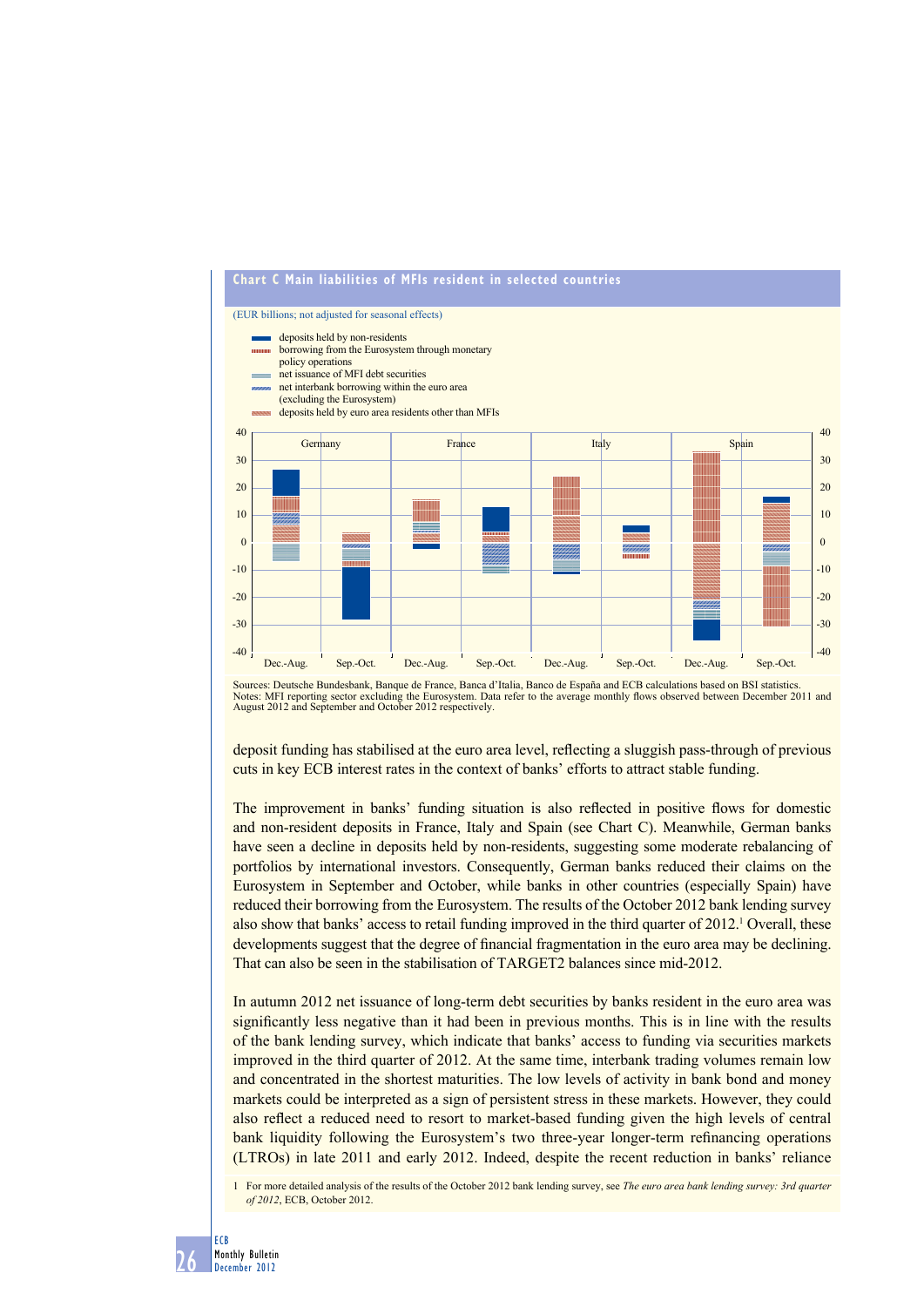

Sources: Deutsche Bundesbank, Banque de France, Banca d'Italia, Banco de España and ECB calculations based on BSI statistics. Notes: MFI reporting sector excluding the Eurosystem. Data refer to the average monthly flows observed between December 2011 and August 2012 and September and October 2012 respectively.

deposit funding has stabilised at the euro area level, reflecting a sluggish pass-through of previous cuts in key ECB interest rates in the context of banks' efforts to attract stable funding.

The improvement in banks' funding situation is also reflected in positive flows for domestic and non-resident deposits in France, Italy and Spain (see Chart C). Meanwhile, German banks have seen a decline in deposits held by non-residents, suggesting some moderate rebalancing of portfolios by international investors. Consequently, German banks reduced their claims on the Eurosystem in September and October, while banks in other countries (especially Spain) have reduced their borrowing from the Eurosystem. The results of the October 2012 bank lending survey also show that banks' access to retail funding improved in the third quarter of 2012.<sup>1</sup> Overall, these developments suggest that the degree of financial fragmentation in the euro area may be declining. That can also be seen in the stabilisation of TARGET2 balances since mid-2012.

In autumn 2012 net issuance of long-term debt securities by banks resident in the euro area was significantly less negative than it had been in previous months. This is in line with the results of the bank lending survey, which indicate that banks' access to funding via securities markets improved in the third quarter of 2012. At the same time, interbank trading volumes remain low and concentrated in the shortest maturities. The low levels of activity in bank bond and money markets could be interpreted as a sign of persistent stress in these markets. However, they could also reflect a reduced need to resort to market-based funding given the high levels of central bank liquidity following the Eurosystem's two three-year longer-term refinancing operations (LTROs) in late 2011 and early 2012. Indeed, despite the recent reduction in banks' reliance

1 For more detailed analysis of the results of the October 2012 bank lending survey, see *The euro area bank lending survey: 3rd quarter of 2012*, ECB, October 2012.

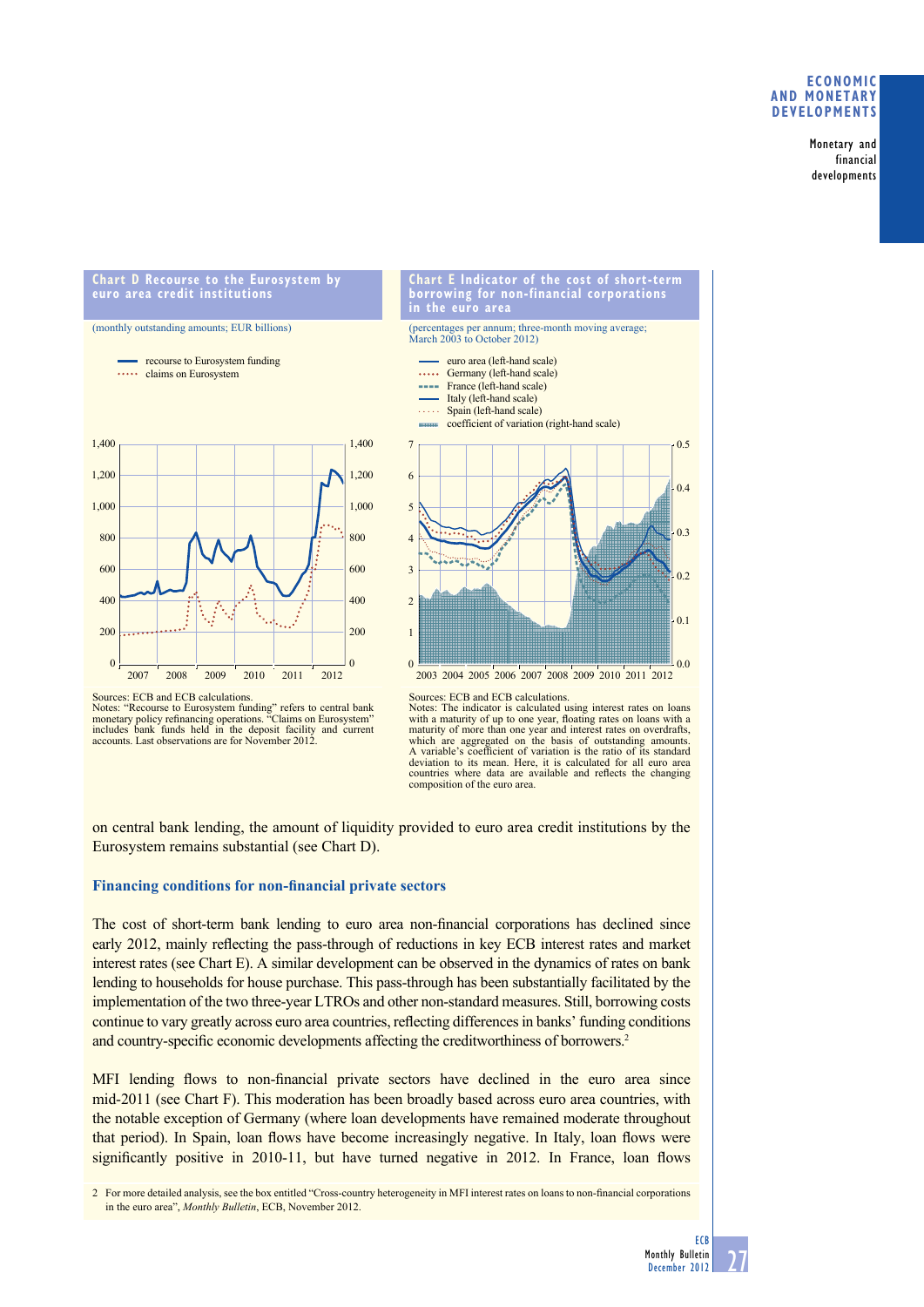# **economic anD monetary DeVeloPmentS**

Monetary and financial developments

#### **chart D recourse to the eurosystem by euro area credit institutions**

(monthly outstanding amounts; EUR billions)





Sources: ECB and ECB calculations.<br>Notes: "Recourse to Eurosystem funding" refers to central bank<br>monetary policy refinancing operations. "Claims on Eurosystem"

Notes: The indicator is calculated using interest rates on loans with a maturity of up to one year, floating rates on loans with a maturity of more than one year and interest rates on overdrafts, which are aggregated on the basis of outstanding amounts. A variable's coefficient of variation is the ratio of its standard deviation to its mean. Here, it is calculated for all euro area countries where data are available and reflects the changing composition of the euro area.

on central bank lending, the amount of liquidity provided to euro area credit institutions by the Eurosystem remains substantial (see Chart D).

## Financing conditions for non-financial private sectors

The cost of short-term bank lending to euro area non-financial corporations has declined since early 2012, mainly reflecting the pass-through of reductions in key ECB interest rates and market interest rates (see Chart E). A similar development can be observed in the dynamics of rates on bank lending to households for house purchase. This pass-through has been substantially facilitated by the implementation of the two three-year LTROs and other non-standard measures. Still, borrowing costs continue to vary greatly across euro area countries, reflecting differences in banks' funding conditions and country-specific economic developments affecting the creditworthiness of borrowers.<sup>2</sup>

MFI lending flows to non-financial private sectors have declined in the euro area since mid-2011 (see Chart F). This moderation has been broadly based across euro area countries, with the notable exception of Germany (where loan developments have remained moderate throughout that period). In Spain, loan flows have become increasingly negative. In Italy, loan flows were significantly positive in  $2010-11$ , but have turned negative in  $2012$ . In France, loan flows

includes bank funds held in the deposit facility and current accounts. Last observations are for November 2012.

<sup>2</sup> For more detailed analysis, see the box entitled "Cross-country heterogeneity in MFI interest rates on loans to non-fi nancial corporations in the euro area", *Monthly Bulletin*, ECB, November 2012.